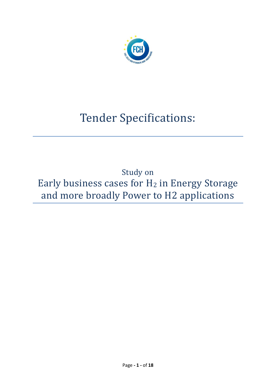

# Tender Specifications:

Study on Early business cases for H<sub>2</sub> in Energy Storage and more broadly Power to H2 applications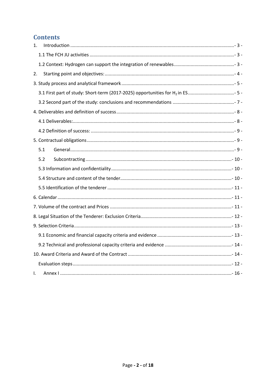## **Contents**

| 1.  |  |
|-----|--|
|     |  |
|     |  |
| 2.  |  |
|     |  |
|     |  |
|     |  |
|     |  |
|     |  |
|     |  |
|     |  |
| 5.1 |  |
| 5.2 |  |
|     |  |
|     |  |
|     |  |
|     |  |
|     |  |
|     |  |
|     |  |
|     |  |
|     |  |
|     |  |
|     |  |
| I.  |  |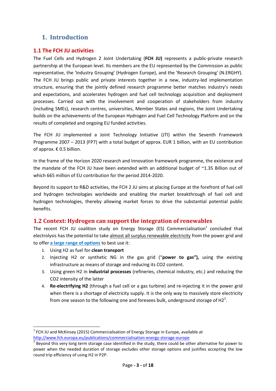## <span id="page-2-0"></span>**1. Introduction**

#### <span id="page-2-1"></span>**1.1 The FCH JU activities**

The Fuel Cells and Hydrogen 2 Joint Undertaking (**FCH JU)** represents a public-private research partnership at the European level. Its members are the EU represented by the Commission as public representative, the 'Industry Grouping' (Hydrogen Europe), and the 'Research Grouping' (N.ERGHY). The FCH JU brings public and private interests together in a new, industry-led implementation structure, ensuring that the jointly defined research programme better matches industry's needs and expectations, and accelerates hydrogen and fuel cell technology acquisition and deployment processes. Carried out with the involvement and cooperation of stakeholders from industry (including SMEs), research centres, universities, Member States and regions, the Joint Undertaking builds on the achievements of the European Hydrogen and Fuel Cell Technology Platform and on the results of completed and ongoing EU funded activities.

The FCH JU implemented a Joint Technology Initiative (JTI) within the Seventh Framework Programme 2007 – 2013 (FP7) with a total budget of approx. EUR 1 billion, with an EU contribution of approx. € 0.5 billion.

In the frame of the Horizon 2020 research and Innovation framework programme, the existence and the mandate of the FCH JU have been extended with an additional budget of ~1.35 Billion out of which 665 million of EU contribution for the period 2014-2020.

Beyond its support to R&D activities, the FCH 2 JU aims at placing Europe at the forefront of fuel cell and hydrogen technologies worldwide and enabling the market breakthrough of fuel cell and hydrogen technologies, thereby allowing market forces to drive the substantial potential public benefits.

#### <span id="page-2-2"></span>**1.2 Context: Hydrogen can support the integration of renewables**

The recent FCH JU coalition study on Energy Storage (ES) Commercialisation<sup>1</sup> concluded that electrolysis has the potential to take almost all surplus renewable electricity from the power grid and to offer **a large range of options** to best use it:

1. Using H2 as fuel for **clean transport**

 $\overline{a}$ 

- 2. Injecting H2 or synthetic NG in the gas grid ("**power to gas"),** using the existing infrastructure as means of storage and reducing its CO2 content.
- 3. Using green H2 in **industrial processes** (refineries, chemical industry, etc.) and reducing the CO2 intensity of the latter
- 4. **Re-electrifying H2** (through a fuel cell or a gas turbine) and re-injecting it in the power grid when there is a shortage of electricity supply. It is the only way to massively store electricity from one season to the following one and foresees bulk, underground storage of H2<sup>2</sup>.

 $<sup>1</sup>$  FCH JU and McKinsey (2015) Commercialisation of Energy Storage in Europe, available at</sup> <http://www.fch.europa.eu/publications/commercialisation-energy-storage-europe>

 $2$  Beyond this very long term storage case identified in the study, there could be other alternative for power to power when the needed duration of storage excludes other storage options and justifies accepting the low round trip efficiency of using H2 in P2P.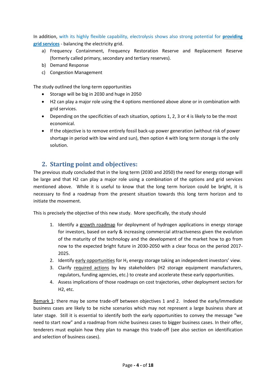In addition, with its highly flexible capability, electrolysis shows also strong potential for **providing grid services** - balancing the electricity grid.

- a) Frequency Containment, Frequency Restoration Reserve and Replacement Reserve (formerly called primary, secondary and tertiary reserves).
- b) Demand Response
- c) Congestion Management

The study outlined the long-term opportunities

- Storage will be big in 2030 and huge in 2050
- H2 can play a major role using the 4 options mentioned above alone or in combination with grid services.
- Depending on the specificities of each situation, options 1, 2, 3 or 4 is likely to be the most economical.
- If the objective is to remove entirely fossil back-up power generation (without risk of power shortage in period with low wind and sun), then option 4 with long term storage is the only solution.

## <span id="page-3-0"></span>**2. Starting point and objectives:**

The previous study concluded that in the long term (2030 and 2050) the need for energy storage will be large and that H2 can play a major role using a combination of the options and grid services mentioned above. While it is useful to know that the long term horizon could be bright, it is necessary to find a roadmap from the present situation towards this long term horizon and to initiate the movement.

This is precisely the objective of this new study. More specifically, the study should

- 1. Identify a growth roadmap for deployment of hydrogen applications in energy storage for investors, based on early & increasing commercial attractiveness given the evolution of the maturity of the technology and the development of the market how to go from now to the expected bright future in 2030-2050 with a clear focus on the period 2017- 2025.
- 2. Identify early opportunities for  $H_2$  energy storage taking an independent investors' view.
- 3. Clarify required actions by key stakeholders (H2 storage equipment manufacturers, regulators, funding agencies, etc.) to create and accelerate these early opportunities.
- 4. Assess implications of those roadmaps on cost trajectories, other deployment sectors for H2, etc.

Remark 1: there may be some trade-off between objectives 1 and 2. Indeed the early/immediate business cases are likely to be niche scenarios which may not represent a large business share at later stage. Still it is essential to identify both the early opportunities to convey the message "we need to start now" and a roadmap from niche business cases to bigger business cases. In their offer, tenderers must explain how they plan to manage this trade-off (see also section on identification and selection of business cases).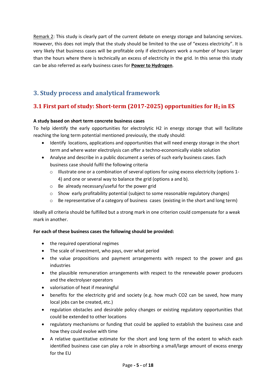Remark 2: This study is clearly part of the current debate on energy storage and balancing services. However, this does not imply that the study should be limited to the use of "excess electricity". It is very likely that business cases will be profitable only if electrolysers work a number of hours larger than the hours where there is technically an excess of electricity in the grid. In this sense this study can be also referred as early business cases for **Power to Hydrogen**.

## <span id="page-4-0"></span>**3. Study process and analytical framework**

## <span id="page-4-1"></span>**3.1 First part of study: Short-term (2017-2025) opportunities for H2 in ES**

#### **A study based on short term concrete business cases**

To help identify the early opportunities for electrolytic H2 in energy storage that will facilitate reaching the long term potential mentioned previously, the study should:

- Identify locations, applications and opportunities that will need energy storage in the short term and where water electrolysis can offer a techno-economically viable solution
- Analyse and describe in a public document a series of such early business cases. Each business case should fulfil the following criteria
	- $\circ$  Illustrate one or a combination of several options for using excess electricity (options 1-4) and one or several way to balance the grid (options a and b).
	- o Be already necessary/useful for the power grid
	- $\circ$  Show early profitability potential (subject to some reasonable regulatory changes)
	- o Be representative of a category of business cases (existing in the short and long term)

Ideally all criteria should be fulfilled but a strong mark in one criterion could compensate for a weak mark in another.

#### **For each of these business cases the following should be provided:**

- the required operational regimes
- The scale of investment, who pays, over what period
- the value propositions and payment arrangements with respect to the power and gas industries
- the plausible remuneration arrangements with respect to the renewable power producers and the electrolyser operators
- valorisation of heat if meaningful
- benefits for the electricity grid and society (e.g. how much CO2 can be saved, how many local jobs can be created, etc.)
- regulation obstacles and desirable policy changes or existing regulatory opportunities that could be extended to other locations
- regulatory mechanisms or funding that could be applied to establish the business case and how they could evolve with time
- A relative quantitative estimate for the short and long term of the extent to which each identified business case can play a role in absorbing a small/large amount of excess energy for the EU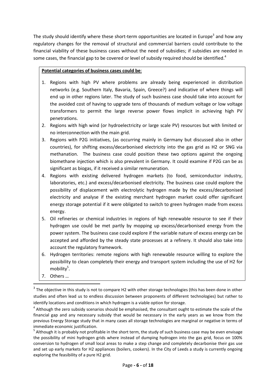The study should identify where these short-term opportunities are located in Europe<sup>3</sup> and how any regulatory changes for the removal of structural and commercial barriers could contribute to the financial viability of these business cases without the need of subsidies; if subsidies are needed in some cases, the financial gap to be covered or level of subsidy required should be identified.<sup>4</sup>

#### **Potential categories of business cases could be**:

- 1. Regions with high PV where problems are already being experienced in distribution networks (e.g. Southern Italy, Bavaria, Spain, Greece?) and indicative of where things will end up in other regions later. The study of such business case should take into account for the avoided cost of having to upgrade tens of thousands of medium voltage or low voltage transformers to permit the large reverse power flows implicit in achieving high PV penetrations.
- 2. Regions with high wind (or hydroelectricity or large scale PV) resources but with limited or no interconnection with the main grid.
- 3. Regions with P2G initiatives, (as occurring mainly in Germany but discussed also in other countries), for shifting excess/decarbonised electricity into the gas grid as H2 or SNG via methanation. The business case could position these two options against the ongoing biomethane injection which is also prevalent in Germany. It could examine if P2G can be as significant as biogas, if it received a similar remuneration.
- 4. Regions with existing delivered hydrogen markets (to food, semiconductor industry, laboratories, etc.) and excess/decarbonised electricity. The business case could explore the possibility of displacement with electrolytic hydrogen made by the excess/decarbonised electricity and analyse if the existing merchant hydrogen market could offer significant energy storage potential if it were obligated to switch to green hydrogen made from excess energy.
- 5. Oil refineries or chemical industries in regions of high renewable resource to see if their hydrogen use could be met partly by mopping up excess/decarbonised energy from the power system. The business case could explore if the variable nature of excess energy can be accepted and afforded by the steady state processes at a refinery. It should also take into account the regulatory framework.
- 6. Hydrogen territories: remote regions with high renewable resource willing to explore the possibility to clean completely their energy and transport system including the use of H2 for mobility<sup>5</sup>.
- 7. Others …

**.** 

 $3$  The objective in this study is not to compare H2 with other storage technologies (this has been done in other studies and often lead us to endless discussion between proponents of different technologies) but rather to identify locations and conditions in which hydrogen is a viable option for storage.

 $<sup>4</sup>$  Although the zero subsidy scenarios should be emphasised, the consultant ought to estimate the scale of the</sup> financial gap and any necessary subsidy that would be necessary in the early years as we know from the previous Energy Storage study that in many cases all storage technologies are marginal or negative in terms of immediate economic justification.

<sup>&</sup>lt;sup>5</sup> Although it is probably not profitable in the short term, the study of such business case may be even envisage the possibility of mini hydrogen grids where instead of dumping hydrogen into the gas grid, focus on 100% conversion to hydrogen of small local areas to make a step change and completely decarbonise their gas use and set up early markets for H2 appliances (boilers, cookers). In the City of Leeds a study is currently ongoing exploring the feasibility of a pure H2 grid.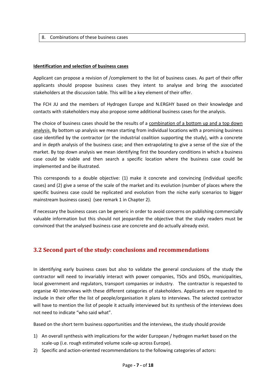8. Combinations of these business cases

#### **Identification and selection of business cases**

Applicant can propose a revision of /complement to the list of business cases. As part of their offer applicants should propose business cases they intent to analyse and bring the associated stakeholders at the discussion table. This will be a key element of their offer.

The FCH JU and the members of Hydrogen Europe and N.ERGHY based on their knowledge and contacts with stakeholders may also propose some additional business cases for the analysis.

The choice of business cases should be the results of a combination of a bottom up and a top down analysis. By bottom up analysis we mean starting from individual locations with a promising business case identified by the contractor (or the industrial coalition supporting the study), with a concrete and in depth analysis of the business case; and then extrapolating to give a sense of the size of the market. By top down analysis we mean identifying first the boundary conditions in which a business case could be viable and then search a specific location where the business case could be implemented and be illustrated.

This corresponds to a double objective: (1) make it concrete and convincing (individual specific cases) and (2) give a sense of the scale of the market and its evolution (number of places where the specific business case could be replicated and evolution from the niche early scenarios to bigger mainstream business cases) (see remark 1 in Chapter 2).

If necessary the business cases can be generic in order to avoid concerns on publishing commercially valuable information but this should not jeopardize the objective that the study readers must be convinced that the analysed business case are concrete and do actually already exist.

#### <span id="page-6-0"></span>**3.2 Second part of the study: conclusions and recommendations**

In identifying early business cases but also to validate the general conclusions of the study the contractor will need to invariably interact with power companies, TSOs and DSOs, municipalities, local government and regulators, transport companies or industry. The contractor is requested to organise 40 interviews with these different categories of stakeholders. Applicants are requested to include in their offer the list of people/organisation it plans to interviews. The selected contractor will have to mention the list of people it actually interviewed but its synthesis of the interviews does not need to indicate "who said what".

Based on the short term business opportunities and the interviews, the study should provide

- 1) An overall synthesis with implications for the wider European / hydrogen market based on the scale-up (i.e. rough estimated volume scale-up across Europe).
- 2) Specific and action-oriented recommendations to the following categories of actors: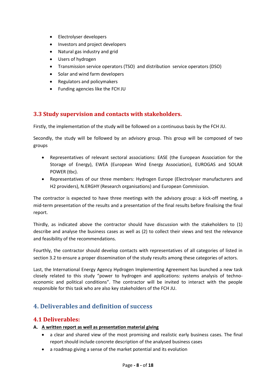- Electrolyser developers
- Investors and project developers
- Natural gas industry and grid
- Users of hydrogen
- Transmission service operators (TSO) and distribution service operators (DSO)
- Solar and wind farm developers
- Regulators and policymakers
- Funding agencies like the FCH JU

#### **3.3 Study supervision and contacts with stakeholders.**

Firstly, the implementation of the study will be followed on a continuous basis by the FCH JU.

Secondly, the study will be followed by an advisory group. This group will be composed of two groups

- Representatives of relevant sectoral associations: EASE (the European Association for the Storage of Energy), EWEA (European Wind Energy Association), EUROGAS and SOLAR POWER (tbc).
- Representatives of our three members: Hydrogen Europe (Electrolyser manufacturers and H2 providers), N.ERGHY (Research organisations) and European Commission.

The contractor is expected to have three meetings with the advisory group: a kick-off meeting, a mid-term presentation of the results and a presentation of the final results before finalising the final report.

Thirdly, as indicated above the contractor should have discussion with the stakeholders to (1) describe and analyse the business cases as well as (2) to collect their views and test the relevance and feasibility of the recommendations.

Fourthly, the contractor should develop contacts with representatives of all categories of listed in section 3.2 to ensure a proper dissemination of the study results among these categories of actors.

Last, the International Energy Agency Hydrogen Implementing Agreement has launched a new task closely related to this study "power to hydrogen and applications: systems analysis of technoeconomic and political conditions". The contractor will be invited to interact with the people responsible for this task who are also key stakeholders of the FCH JU.

## <span id="page-7-0"></span>**4. Deliverables and definition of success**

#### <span id="page-7-1"></span>**4.1 Deliverables:**

#### **A. A written report as well as presentation material giving**

- a clear and shared view of the most promising and realistic early business cases. The final report should include concrete description of the analysed business cases
- a roadmap giving a sense of the market potential and its evolution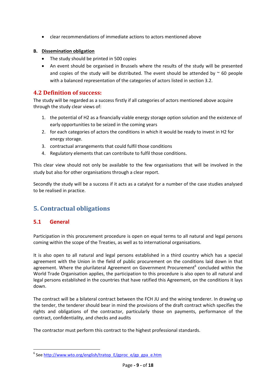clear recommendations of immediate actions to actors mentioned above

#### **B. Dissemination obligation**

- The study should be printed in 500 copies
- An event should be organised in Brussels where the results of the study will be presented and copies of the study will be distributed. The event should be attended by  $\sim$  60 people with a balanced representation of the categories of actors listed in section 3.2.

#### <span id="page-8-0"></span>**4.2 Definition of success:**

The study will be regarded as a success firstly if all categories of actors mentioned above acquire through the study clear views of:

- 1. the potential of H2 as a financially viable energy storage option solution and the existence of early opportunities to be seized in the coming years
- 2. for each categories of actors the conditions in which it would be ready to invest in H2 for energy storage.
- 3. contractual arrangements that could fulfil those conditions
- 4. Regulatory elements that can contribute to fulfil those conditions.

This clear view should not only be available to the few organisations that will be involved in the study but also for other organisations through a clear report.

Secondly the study will be a success if it acts as a catalyst for a number of the case studies analysed to be realised in practice.

## <span id="page-8-1"></span>**5. Contractual obligations**

#### <span id="page-8-2"></span>**5.1 General**

**.** 

Participation in this procurement procedure is open on equal terms to all natural and legal persons coming within the scope of the Treaties, as well as to international organisations.

It is also open to all natural and legal persons established in a third country which has a special agreement with the Union in the field of public procurement on the conditions laid down in that agreement. Where the plurilateral Agreement on Government Procurement<sup>6</sup> concluded within the World Trade Organisation applies, the participation to this procedure is also open to all natural and legal persons established in the countries that have ratified this Agreement, on the conditions it lays down.

The contract will be a bilateral contract between the FCH JU and the wining tenderer. In drawing up the tender, the tenderer should bear in mind the provisions of the draft contract which specifies the rights and obligations of the contractor, particularly those on payments, performance of the contract, confidentiality, and checks and audits

The contractor must perform this contract to the highest professional standards.

<sup>&</sup>lt;sup>6</sup> See [http://www.wto.org/english/tratop\\_E/gproc\\_e/gp\\_gpa\\_e.htm](http://www.wto.org/english/tratop_E/gproc_e/gp_gpa_e.htm)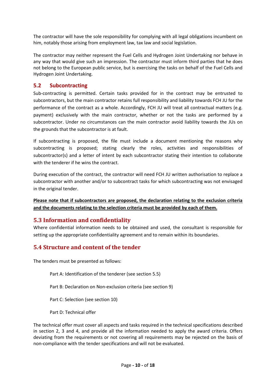The contractor will have the sole responsibility for complying with all legal obligations incumbent on him, notably those arising from employment law, tax law and social legislation.

The contractor may neither represent the Fuel Cells and Hydrogen Joint Undertaking nor behave in any way that would give such an impression. The contractor must inform third parties that he does not belong to the European public service, but is exercising the tasks on behalf of the Fuel Cells and Hydrogen Joint Undertaking.

#### <span id="page-9-0"></span>**5.2 Subcontracting**

Sub-contracting is permitted. Certain tasks provided for in the contract may be entrusted to subcontractors, but the main contractor retains full responsibility and liability towards FCH JU for the performance of the contract as a whole. Accordingly, FCH JU will treat all contractual matters (e.g. payment) exclusively with the main contractor, whether or not the tasks are performed by a subcontractor. Under no circumstances can the main contractor avoid liability towards the JUs on the grounds that the subcontractor is at fault.

If subcontracting is proposed, the file must include a document mentioning the reasons why subcontracting is proposed; stating clearly the roles, activities and responsibilities of subcontractor(s) and a letter of intent by each subcontractor stating their intention to collaborate with the tenderer if he wins the contract.

During execution of the contract, the contractor will need FCH JU written authorisation to replace a subcontractor with another and/or to subcontract tasks for which subcontracting was not envisaged in the original tender.

**Please note that if subcontractors are proposed, the declaration relating to the exclusion criteria and the documents relating to the selection criteria must be provided by each of them.**

#### <span id="page-9-1"></span>**5.3 Information and confidentiality**

Where confidential information needs to be obtained and used, the consultant is responsible for setting up the appropriate confidentiality agreement and to remain within its boundaries.

#### <span id="page-9-2"></span>**5.4 Structure and content of the tender**

The tenders must be presented as follows:

Part A: Identification of the tenderer (see section 5.5)

Part B: Declaration on Non-exclusion criteria (see section 9)

Part C: Selection (see section 10)

Part D: Technical offer

The technical offer must cover all aspects and tasks required in the technical specifications described in section 2, 3 and 4, and provide all the information needed to apply the award criteria. Offers deviating from the requirements or not covering all requirements may be rejected on the basis of non-compliance with the tender specifications and will not be evaluated.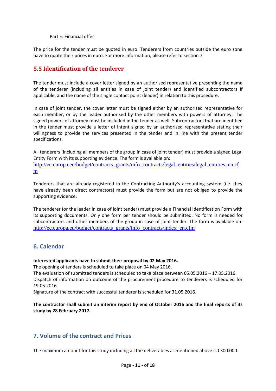Part E: Financial offer

The price for the tender must be quoted in euro. Tenderers from countries outside the euro zone have to quote their prices in euro. For more information, please refer to section 7.

## <span id="page-10-0"></span>**5.5 Identification of the tenderer**

The tender must include a cover letter signed by an authorised representative presenting the name of the tenderer (including all entities in case of joint tender) and identified subcontractors if applicable, and the name of the single contact point (leader) in relation to this procedure.

In case of joint tender, the cover letter must be signed either by an authorised representative for each member, or by the leader authorised by the other members with powers of attorney. The signed powers of attorney must be included in the tender as well. Subcontractors that are identified in the tender must provide a letter of intent signed by an authorised representative stating their willingness to provide the services presented in the tender and in line with the present tender specifications.

All tenderers (including all members of the group in case of joint tender) must provide a signed Legal Entity Form with its supporting evidence. The form is available on: [http://ec.europa.eu/budget/contracts\\_grants/info\\_contracts/legal\\_entities/legal\\_entities\\_en.cf](http://ec.europa.eu/budget/contracts_grants/info_contracts/legal_entities/legal_entities_en.cfm) [m](http://ec.europa.eu/budget/contracts_grants/info_contracts/legal_entities/legal_entities_en.cfm)

Tenderers that are already registered in the Contracting Authority's accounting system (i.e. they have already been direct contractors) must provide the form but are not obliged to provide the supporting evidence.

The tenderer (or the leader in case of joint tender) must provide a Financial Identification Form with its supporting documents. Only one form per tender should be submitted. No form is needed for subcontractors and other members of the group in case of joint tender. The form is available on: [http://ec.europa.eu/budget/contracts\\_grants/info\\_contracts/index\\_en.cfm](http://ec.europa.eu/budget/contracts_grants/info_contracts/index_en.cfm)

#### <span id="page-10-1"></span>**6. Calendar**

#### **Interested applicants have to submit their proposal by 02 May 2016.**

The opening of tenders is scheduled to take place on 04 May 2016.

The evaluation of submitted tenders is scheduled to take place between 05.05.2016 – 17.05.2016.

Dispatch of information on outcome of the procurement procedure to tenderers is scheduled for 19.05.2016.

Signature of the contract with successful tenderer is scheduled for 31.05.2016.

#### **The contractor shall submit an interim report by end of October 2016 and the final reports of its study by 28 February 2017.**

#### <span id="page-10-2"></span>**7. Volume of the contract and Prices**

The maximum amount for this study including all the deliverables as mentioned above is €300.000.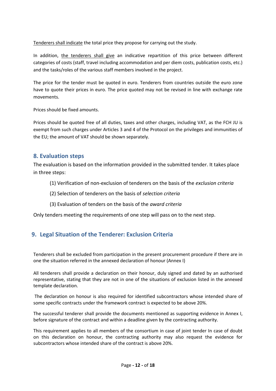Tenderers shall indicate the total price they propose for carrying out the study.

In addition, the tenderers shall give an indicative repartition of this price between different categories of costs (staff, travel including accommodation and per diem costs, publication costs, etc.) and the tasks/roles of the various staff members involved in the project.

The price for the tender must be quoted in euro. Tenderers from countries outside the euro zone have to quote their prices in euro. The price quoted may not be revised in line with exchange rate movements.

Prices should be fixed amounts.

Prices should be quoted free of all duties, taxes and other charges, including VAT, as the FCH JU is exempt from such charges under Articles 3 and 4 of the Protocol on the privileges and immunities of the EU; the amount of VAT should be shown separately.

#### <span id="page-11-0"></span>**8. Evaluation steps**

The evaluation is based on the information provided in the submitted tender. It takes place in three steps:

- (1) Verification of non-exclusion of tenderers on the basis of the *exclusion criteria*
- (2) Selection of tenderers on the basis of *selection criteria*
- (3) Evaluation of tenders on the basis of the *award criteria*

Only tenders meeting the requirements of one step will pass on to the next step.

## **9. Legal Situation of the Tenderer: Exclusion Criteria**

Tenderers shall be excluded from participation in the present procurement procedure if there are in one the situation referred in the annexed declaration of honour (Annex I)

All tenderers shall provide a declaration on their honour, duly signed and dated by an authorised representative, stating that they are not in one of the situations of exclusion listed in the annexed template declaration.

The declaration on honour is also required for identified subcontractors whose intended share of some specific contracts under the framework contract is expected to be above 20%.

The successful tenderer shall provide the documents mentioned as supporting evidence in Annex I, before signature of the contract and within a deadline given by the contracting authority.

<span id="page-11-1"></span>This requirement applies to all members of the consortium in case of joint tender In case of doubt on this declaration on honour, the contracting authority may also request the evidence for subcontractors whose intended share of the contract is above 20%.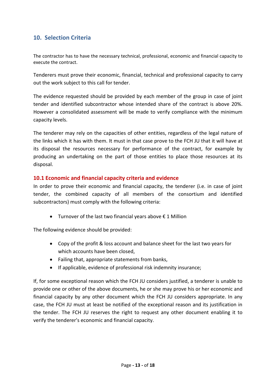## **10. Selection Criteria**

The contractor has to have the necessary technical, professional, economic and financial capacity to execute the contract.

Tenderers must prove their economic, financial, technical and professional capacity to carry out the work subject to this call for tender.

The evidence requested should be provided by each member of the group in case of joint tender and identified subcontractor whose intended share of the contract is above 20%. However a consolidated assessment will be made to verify compliance with the minimum capacity levels.

The tenderer may rely on the capacities of other entities, regardless of the legal nature of the links which it has with them. It must in that case prove to the FCH JU that it will have at its disposal the resources necessary for performance of the contract, for example by producing an undertaking on the part of those entities to place those resources at its disposal.

#### <span id="page-12-0"></span>**10.1 Economic and financial capacity criteria and evidence**

In order to prove their economic and financial capacity, the tenderer (i.e. in case of joint tender, the combined capacity of all members of the consortium and identified subcontractors) must comply with the following criteria:

Turnover of the last two financial years above € 1 Million

The following evidence should be provided:

- Copy of the profit & loss account and balance sheet for the last two years for which accounts have been closed,
- Failing that, appropriate statements from banks,
- If applicable, evidence of professional risk indemnity insurance;

If, for some exceptional reason which the FCH JU considers justified, a tenderer is unable to provide one or other of the above documents, he or she may prove his or her economic and financial capacity by any other document which the FCH JU considers appropriate. In any case, the FCH JU must at least be notified of the exceptional reason and its justification in the tender. The FCH JU reserves the right to request any other document enabling it to verify the tenderer's economic and financial capacity.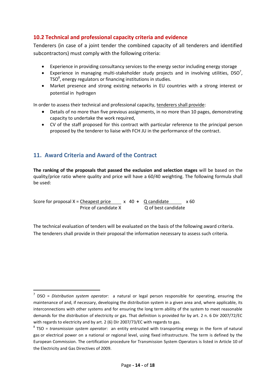#### <span id="page-13-0"></span>**10.2 Technical and professional capacity criteria and evidence**

Tenderers (in case of a joint tender the combined capacity of all tenderers and identified subcontractors) must comply with the following criteria:

- Experience in providing consultancy services to the energy sector including energy storage
- Experience in managing multi-stakeholder study projects and in involving utilities,  $DSO<sup>7</sup>$ , TSO $^8$ , energy regulators or financing institutions in studies.
- Market presence and strong existing networks in EU countries with a strong interest or potential in hydrogen

In order to assess their technical and professional capacity, tenderers shall provide:

- Details of no more than five previous assignments, in no more than 10 pages, demonstrating capacity to undertake the work required,
- CV of the staff proposed for this contract with particular reference to the principal person proposed by the tenderer to liaise with FCH JU in the performance of the contract.

## <span id="page-13-1"></span>**11. Award Criteria and Award of the Contract**

 $\overline{a}$ 

**The ranking of the proposals that passed the exclusion and selection stages** will be based on the quality/price ratio where quality and price will have a 60/40 weighting. The following formula shall be used:

Score for proposal  $X =$  Cheapest price  $X = 40 + Q$  candidate  $X = 60$ Price of candidate X Q of best candidate

The technical evaluation of tenders will be evaluated on the basis of the following award criteria. The tenderers shall provide in their proposal the information necessary to assess such criteria.

<sup>7</sup> DSO = *Distribution system operator*: a natural or legal person responsible for operating, ensuring the maintenance of and, if necessary, developing the distribution system in a given area and, where applicable, its interconnections with other systems and for ensuring the long term ability of the system to meet reasonable demands for the distribution of electricity or gas. That definition is provided for by art. 2 n. 6 Dir 2007/72/EC with regards to electricity and by art. 2 (6) Dir 2007/73/EC with regards to gas.

<sup>8</sup> TSO = *transmission system operator*: an entity entrusted with transporting energy in the form of [natural](https://en.wikipedia.org/wiki/Natural_gas)  [gas](https://en.wikipedia.org/wiki/Natural_gas) or electrical power on a national or regional level, using fixed [infrastructure.](https://en.wikipedia.org/wiki/Infrastructure) The term is defined by the European Commission. The certification procedure for Transmission System Operators is listed in Article 10 of the Electricity and Gas Directives of 2009.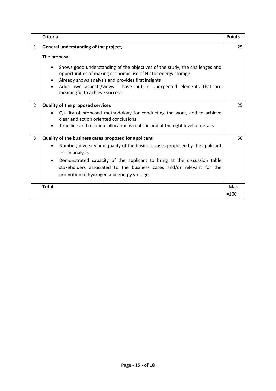<span id="page-14-0"></span>

|                | <b>Criteria</b>                                                                                                                                                                                                                                                                                                                                                                     | <b>Points</b> |
|----------------|-------------------------------------------------------------------------------------------------------------------------------------------------------------------------------------------------------------------------------------------------------------------------------------------------------------------------------------------------------------------------------------|---------------|
| $\mathbf{1}$   | General understanding of the project,<br>The proposal:<br>Shows good understanding of the objectives of the study, the challenges and<br>opportunities of making economic use of H2 for energy storage<br>Already shows analysis and provides first insights<br>Adds own aspects/views - have put in unexpected elements that are<br>meaningful to achieve success                  | 25            |
| $\overline{2}$ | <b>Quality of the proposed services</b><br>Quality of proposed methodology for conducting the work, and to achieve<br>clear and action oriented conclusions<br>Time line and resource allocation is realistic and at the right level of details                                                                                                                                     | 25            |
| 3              | Quality of the business cases proposed for applicant<br>Number, diversity and quality of the business cases proposed by the applicant<br>$\bullet$<br>for an analysis<br>Demonstrated capacity of the applicant to bring at the discussion table<br>$\bullet$<br>stakeholders associated to the business cases and/or relevant for the<br>promotion of hydrogen and energy storage. | 50            |
|                | <b>Total</b>                                                                                                                                                                                                                                                                                                                                                                        | Max<br>$=100$ |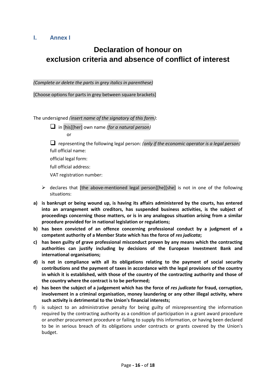#### **I. Annex I**

## **Declaration of honour on exclusion criteria and absence of conflict of interest**

*(Complete or delete the parts in grey italics in parenthese)*

[Choose options for parts in grey between square brackets]

The undersigned *(insert name of the signatory of this form)*:

in [his][her] own name *(for a natural person)*

or

 representing the following legal person: *(only if the economic operator is a legal person)* full official name:

official legal form:

full official address:

VAT registration number:

- $\triangleright$  declares that [the above-mentioned legal person][he][she] is not in one of the following situations:
- **a) is bankrupt or being wound up, is having its affairs administered by the courts, has entered into an arrangement with creditors, has suspended business activities, is the subject of proceedings concerning those matters, or is in any analogous situation arising from a similar procedure provided for in national legislation or regulations;**
- **b) has been convicted of an offence concerning professional conduct by a judgment of a competent authority of a Member State which has the force of** *res judicata***;**
- **c) has been guilty of grave professional misconduct proven by any means which the contracting authorities can justify including by decisions of the European Investment Bank and international organisations;**
- **d) is not in compliance with all its obligations relating to the payment of social security contributions and the payment of taxes in accordance with the legal provisions of the country in which it is established, with those of the country of the contracting authority and those of the country where the contract is to be performed;**
- **e) has been the subject of a judgement which has the force of** *res judicata* **for fraud, corruption, involvement in a criminal organisation, money laundering or any other illegal activity, where such activity is detrimental to the Union's financial interests;**
- f) is subject to an administrative penalty for being guilty of misrepresenting the information required by the contracting authority as a condition of participation in a grant award procedure or another procurement procedure or failing to supply this information, or having been declared to be in serious breach of its obligations under contracts or grants covered by the Union's budget.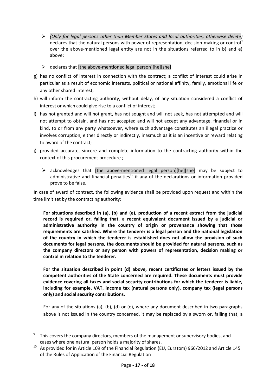- *(Only for legal persons other than Member States and local authorities, otherwise delete)* declares that the natural persons with power of representation, decision-making or control<sup>9</sup> over the above-mentioned legal entity are not in the situations referred to in b) and e) above;
- $\triangleright$  declares that [the above-mentioned legal person][he][she]:
- g) has no conflict of interest in connection with the contract; a conflict of interest could arise in particular as a result of economic interests, political or national affinity, family, emotional life or any other shared interest;
- h) will inform the contracting authority, without delay, of any situation considered a conflict of interest or which could give rise to a conflict of interest;
- i) has not granted and will not grant, has not sought and will not seek, has not attempted and will not attempt to obtain, and has not accepted and will not accept any advantage, financial or in kind, to or from any party whatsoever, where such advantage constitutes an illegal practice or involves corruption, either directly or indirectly, inasmuch as it is an incentive or reward relating to award of the contract;
- j) provided accurate, sincere and complete information to the contracting authority within the context of this procurement procedure ;
	- $\triangleright$  acknowledges that [the above-mentioned legal person][he][she] may be subject to administrative and financial penalties<sup>10</sup> if any of the declarations or information provided prove to be false.

In case of award of contract, the following evidence shall be provided upon request and within the time limit set by the contracting authority:

**For situations described in (a), (b) and (e), production of a recent extract from the judicial record is required or, failing that, a recent equivalent document issued by a judicial or administrative authority in the country of origin or provenance showing that those requirements are satisfied. Where the tenderer is a legal person and the national legislation of the country in which the tenderer is established does not allow the provision of such documents for legal persons, the documents should be provided for natural persons, such as the company directors or any person with powers of representation, decision making or control in relation to the tenderer.**

**For the situation described in point (d) above, recent certificates or letters issued by the competent authorities of the State concerned are required. These documents must provide evidence covering all taxes and social security contributions for which the tenderer is liable, including for example, VAT, income tax (natural persons only), company tax (legal persons only) and social security contributions.**

For any of the situations (a), (b), (d) or (e), where any document described in two paragraphs above is not issued in the country concerned, it may be replaced by a sworn or, failing that, a

**.** 

<sup>9</sup> This covers the company directors, members of the management or supervisory bodies, and cases where one natural person holds a majority of shares.

<sup>&</sup>lt;sup>10</sup> As provided for in Article 109 of the Financial Regulation (EU, Euratom) 966/2012 and Article 145 of the Rules of Application of the Financial Regulation